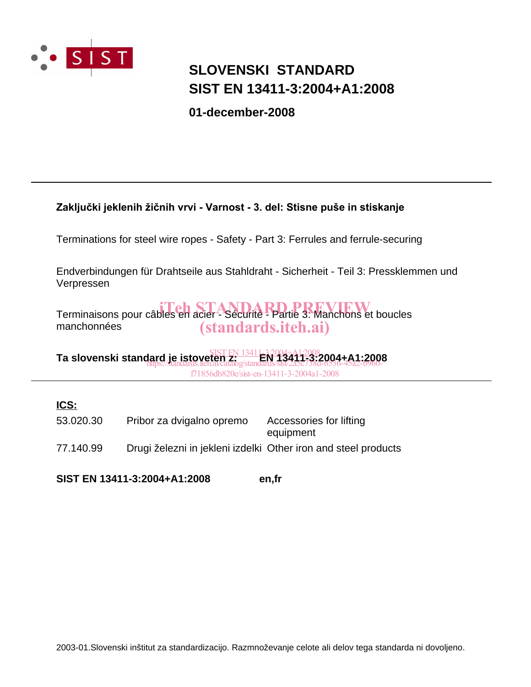

## **SIST EN 13411-3:2004+A1:2008 SLOVENSKI STANDARD**

**01-december-2008**

### Zaključki jeklenih žičnih vrvi - Varnost - 3. del: Stisne puše in stiskanje

Terminations for steel wire ropes - Safety - Part 3: Ferrules and ferrule-securing

Endverbindungen für Drahtseile aus Stahldraht - Sicherheit - Teil 3: Pressklemmen und Verpressen

Terminaisons pour câbles en acier - Sécurité - Partie 3: Manchons et boucles manchonnées (standards.iteh.ai)

**Ta slovenski standard je istoveten z: EN 13411-3:2004+A1:2008** SIST EN 13411-3:2004+A1:2008 https://standards.iteh.ai/catalog/standards/sist/2a5c738d-6536-45a2-b960-

f71856db820e/sist-en-13411-3-2004a1-2008

### **ICS:**

77.140.99 Drugi železni in jekleni izdelki Other iron and steel products 53.020.30 Pribor za dvigalno opremo Accessories for lifting equipment

**SIST EN 13411-3:2004+A1:2008 en,fr**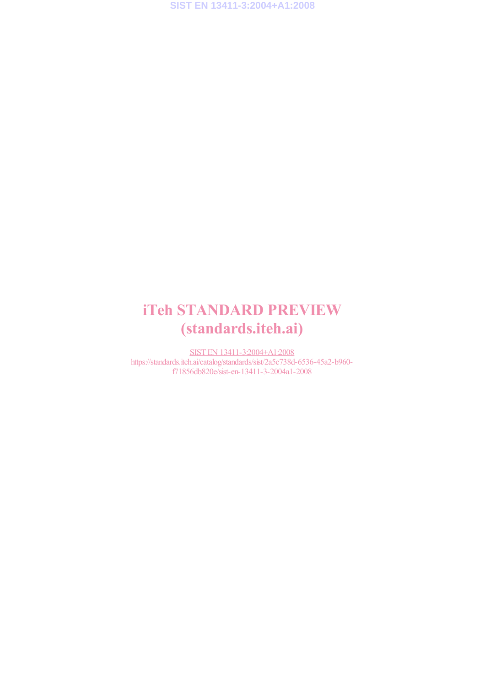# iTeh STANDARD PREVIEW (standards.iteh.ai)

SIST EN 13411-3:2004+A1:2008 https://standards.iteh.ai/catalog/standards/sist/2a5c738d-6536-45a2-b960 f71856db820e/sist-en-13411-3-2004a1-2008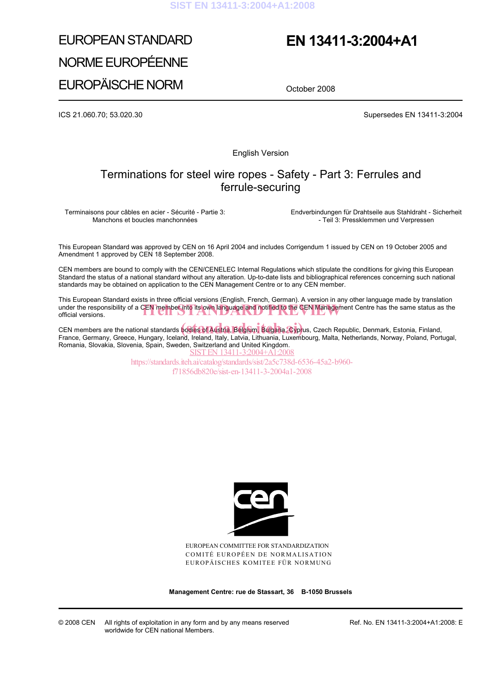## EUROPEAN STANDARD NORME EUROPÉENNE EUROPÄISCHE NORM

## **EN 13411-3:2004+A1**

October 2008

ICS 21.060.70; 53.020.30 Supersedes EN 13411-3:2004

English Version

### Terminations for steel wire ropes - Safety - Part 3: Ferrules and ferrule-securing

Terminaisons pour câbles en acier - Sécurité - Partie 3: Manchons et boucles manchonnées

 Endverbindungen für Drahtseile aus Stahldraht - Sicherheit - Teil 3: Pressklemmen und Verpressen

This European Standard was approved by CEN on 16 April 2004 and includes Corrigendum 1 issued by CEN on 19 October 2005 and Amendment 1 approved by CEN 18 September 2008.

CEN members are bound to comply with the CEN/CENELEC Internal Regulations which stipulate the conditions for giving this European Standard the status of a national standard without any alteration. Up-to-date lists and bibliographical references concerning such national standards may be obtained on application to the CEN Management Centre or to any CEN member.

This European Standard exists in three official versions (English, French, German). A version in any other language made by translation under the responsibility of a CEN member into its own language and notified to the CEN Management Centre has the same status as the official versions. official versions.

CEN members are the national standards **bodies of Austria, Belgium, Bulgaria, Cypr**us, Czech Republic, Denmark, Estonia, Finland,<br>Erange, Cermany, Creese, Hungany, Jeeland, Ireland, Italy, Labyja, Lithuania, Luxembeurg, Ma France, Germany, Greece, Hungary, Iceland, Ireland, Italy, Latvia, Lithuania, Luxembourg, Malta, Netherlands, Norway, Poland, Portugal, Romania, Slovakia, Slovenia, Spain, Sweden, Switzerland and United Kingdom. SIST EN 13411-3:2004+A1:2008

https://standards.iteh.ai/catalog/standards/sist/2a5c738d-6536-45a2-b960 f71856db820e/sist-en-13411-3-2004a1-2008



EUROPEAN COMMITTEE FOR STANDARDIZATION COMITÉ EUROPÉEN DE NORMALISATION EUROPÄISCHES KOMITEE FÜR NORMUNG

**Management Centre: rue de Stassart, 36 B-1050 Brussels**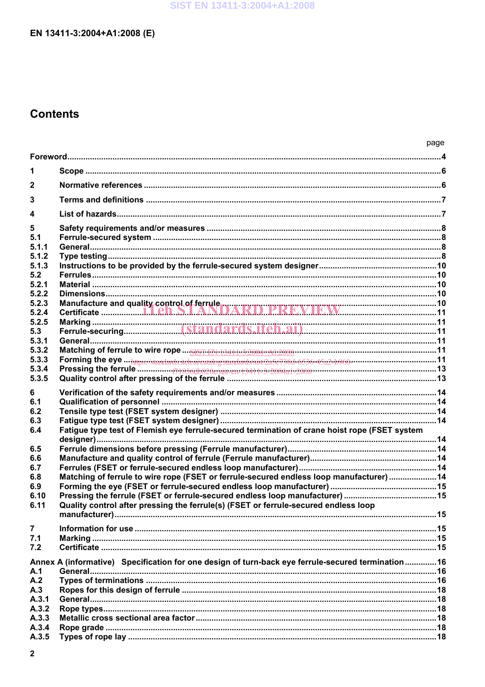## **Contents**

|                  |                                                                                                    | page |
|------------------|----------------------------------------------------------------------------------------------------|------|
|                  |                                                                                                    |      |
| 1                |                                                                                                    |      |
| $\boldsymbol{2}$ |                                                                                                    |      |
| 3                |                                                                                                    |      |
| 4                |                                                                                                    |      |
| 5                |                                                                                                    |      |
| 5.1              |                                                                                                    |      |
| 5.1.1            |                                                                                                    |      |
| 5.1.2            |                                                                                                    |      |
| 5.1.3            |                                                                                                    |      |
| 5.2              |                                                                                                    |      |
| 5.2.1            |                                                                                                    |      |
| 5.2.2            |                                                                                                    |      |
| 5.2.3            |                                                                                                    |      |
| 5.2.4<br>5.2.5   |                                                                                                    |      |
| 5.3              |                                                                                                    |      |
| 5.3.1            |                                                                                                    |      |
| 5.3.2            |                                                                                                    |      |
| 5.3.3            |                                                                                                    |      |
| 5.3.4            |                                                                                                    |      |
| 5.3.5            |                                                                                                    |      |
|                  |                                                                                                    |      |
| 6<br>6.1         |                                                                                                    |      |
| 6.2              |                                                                                                    |      |
| 6.3              |                                                                                                    |      |
| 6.4              | Fatigue type test of Flemish eye ferrule-secured termination of crane hoist rope (FSET system      |      |
|                  |                                                                                                    |      |
| 6.5              |                                                                                                    |      |
| 6.6              |                                                                                                    |      |
| 6.7              |                                                                                                    |      |
| 6.8              | Matching of ferrule to wire rope (FSET or ferrule-secured endless loop manufacturer)  14           |      |
| 6.9              |                                                                                                    |      |
| 6.10             |                                                                                                    |      |
| 6.11             | Quality control after pressing the ferrule(s) (FSET or ferrule-secured endless loop                |      |
|                  |                                                                                                    |      |
| $\overline{7}$   |                                                                                                    |      |
| 7.1              |                                                                                                    |      |
| 7.2              |                                                                                                    |      |
|                  | Annex A (informative) Specification for one design of turn-back eye ferrule-secured termination 16 |      |
| A.1              |                                                                                                    |      |
| A.2<br>A.3       |                                                                                                    |      |
| A.3.1            |                                                                                                    |      |
| A.3.2            |                                                                                                    |      |
| A.3.3            |                                                                                                    |      |
| A.3.4            |                                                                                                    |      |
| A.3.5            |                                                                                                    |      |
|                  |                                                                                                    |      |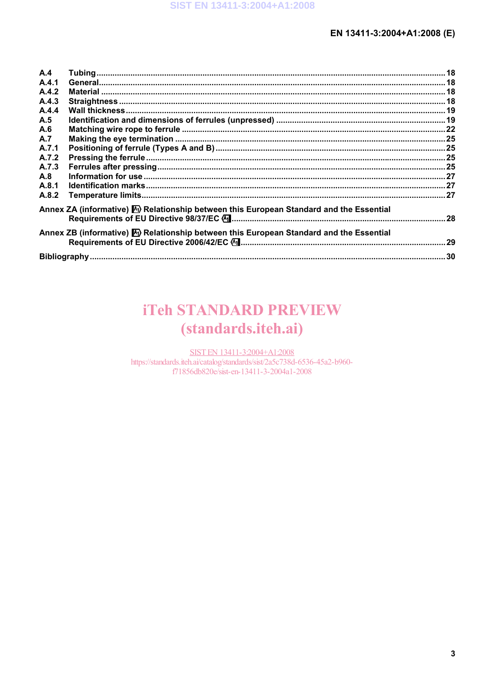| A.4   |                                                                                                       |  |  |
|-------|-------------------------------------------------------------------------------------------------------|--|--|
| A.4.1 |                                                                                                       |  |  |
| A.4.2 |                                                                                                       |  |  |
| A.4.3 |                                                                                                       |  |  |
| A.4.4 |                                                                                                       |  |  |
| A.5   |                                                                                                       |  |  |
| A.6   |                                                                                                       |  |  |
| A.7   |                                                                                                       |  |  |
| A.7.1 |                                                                                                       |  |  |
| A.7.2 |                                                                                                       |  |  |
| A.7.3 |                                                                                                       |  |  |
| A.8   |                                                                                                       |  |  |
| A.8.1 |                                                                                                       |  |  |
| A.8.2 |                                                                                                       |  |  |
|       | Annex ZA (informative) $\mathbb{A}$ ) Relationship between this European Standard and the Essential   |  |  |
|       | Annex ZB (informative) $\mathbb{A}_l$ ) Relationship between this European Standard and the Essential |  |  |
|       |                                                                                                       |  |  |

# **iTeh STANDARD PREVIEW** (standards.iteh.ai)

SIST EN 13411-3:2004+A1:2008 https://standards.iteh.ai/catalog/standards/sist/2a5c738d-6536-45a2-b960f71856db820e/sist-en-13411-3-2004a1-2008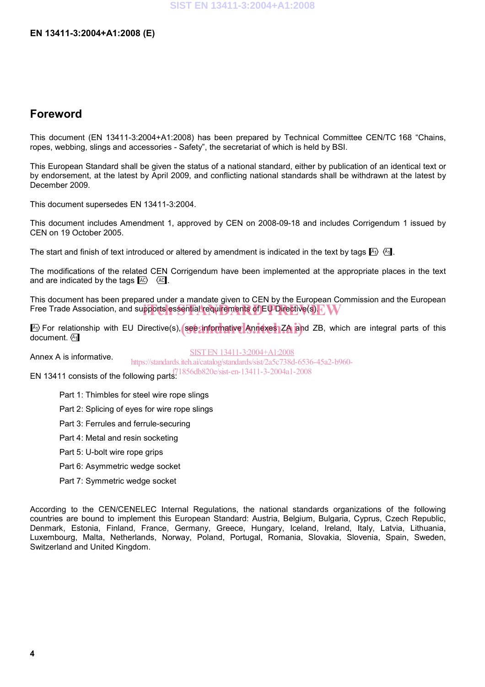## **Foreword**

This document (EN 13411-3:2004+A1:2008) has been prepared by Technical Committee CEN/TC 168 "Chains, ropes, webbing, slings and accessories - Safety", the secretariat of which is held by BSI.

This European Standard shall be given the status of a national standard, either by publication of an identical text or by endorsement, at the latest by April 2009, and conflicting national standards shall be withdrawn at the latest by December 2009.

This document supersedes EN 13411-3:2004.

This document includes Amendment 1, approved by CEN on 2008-09-18 and includes Corrigendum 1 issued by CEN on 19 October 2005.

The start and finish of text introduced or altered by amendment is indicated in the text by tags  $\mathbb{A}_1$ .

The modifications of the related CEN Corrigendum have been implemented at the appropriate places in the text and are indicated by the tags  $AC$   $AC$ .

This document has been prepared under a mandate given to CEN by the European Commission and the European The accuracy may accuracy properties and supports and the requirements of EU Directive(s). PM

**A**) For relationship with EU Directive(s), see anformative Annexes ZA and ZB, which are integral parts of this decorrent document. (A<sub>1</sub>

Annex A is informative.

SIST EN 13411-3:2004+A1:2008 https://standards.iteh.ai/catalog/standards/sist/2a5c738d-6536-45a2-b960-

**EN 13411 consists of the following parts.**  $171856db820e/sist-en-13411-3-2004a1-2008$ 

- Part 1: Thimbles for steel wire rope slings
- Part 2: Splicing of eyes for wire rope slings
- Part 3: Ferrules and ferrule-securing
- Part 4: Metal and resin socketing
- Part 5: U-bolt wire rope grips
- Part 6: Asymmetric wedge socket
- Part 7: Symmetric wedge socket

According to the CEN/CENELEC Internal Regulations, the national standards organizations of the following countries are bound to implement this European Standard: Austria, Belgium, Bulgaria, Cyprus, Czech Republic, Denmark, Estonia, Finland, France, Germany, Greece, Hungary, Iceland, Ireland, Italy, Latvia, Lithuania, Luxembourg, Malta, Netherlands, Norway, Poland, Portugal, Romania, Slovakia, Slovenia, Spain, Sweden, Switzerland and United Kingdom.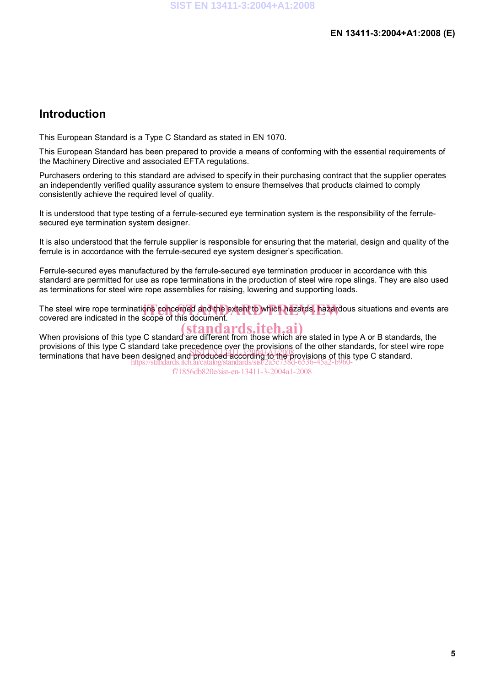### **Introduction**

This European Standard is a Type C Standard as stated in EN 1070.

This European Standard has been prepared to provide a means of conforming with the essential requirements of the Machinery Directive and associated EFTA regulations.

Purchasers ordering to this standard are advised to specify in their purchasing contract that the supplier operates an independently verified quality assurance system to ensure themselves that products claimed to comply consistently achieve the required level of quality.

It is understood that type testing of a ferrule-secured eye termination system is the responsibility of the ferrulesecured eye termination system designer.

It is also understood that the ferrule supplier is responsible for ensuring that the material, design and quality of the ferrule is in accordance with the ferrule-secured eye system designer's specification.

Ferrule-secured eyes manufactured by the ferrule-secured eye termination producer in accordance with this standard are permitted for use as rope terminations in the production of steel wire rope slings. They are also used as terminations for steel wire rope assemblies for raising, lowering and supporting loads.

The steel wire rope terminations concerned and the extent to which hazards, hazardous situations and events are<br>covered are indicated in the scope of this document covered are indicated in the scope of this document.

### (standards.iteh.ai)

When provisions of this type C standard are different from those which are stated in type A or B standards, the provisions of this type C standard take precedence over the provisions of the other standards, for steel wire rope provisions of this type o standard take presedence over the provisions of the circle standards, for steel with https://standards.iteh.ai/catalog/standards/sist/2a5c738d-6536-45a2-b960-

f71856db820e/sist-en-13411-3-2004a1-2008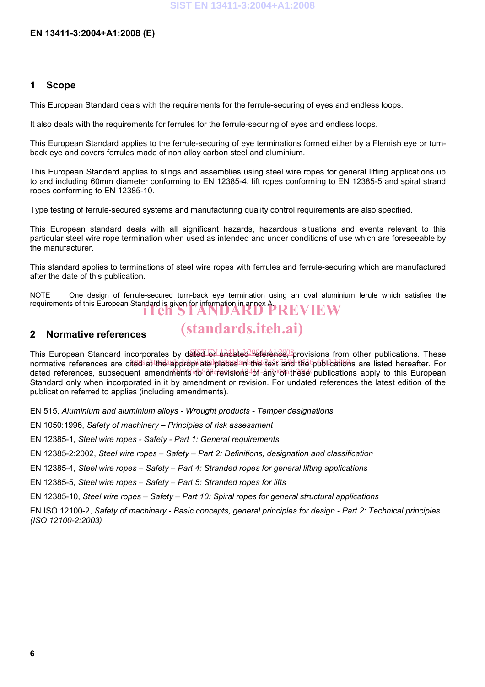#### **1 Scope**

This European Standard deals with the requirements for the ferrule-securing of eyes and endless loops.

It also deals with the requirements for ferrules for the ferrule-securing of eyes and endless loops.

This European Standard applies to the ferrule-securing of eye terminations formed either by a Flemish eye or turnback eye and covers ferrules made of non alloy carbon steel and aluminium.

This European Standard applies to slings and assemblies using steel wire ropes for general lifting applications up to and including 60mm diameter conforming to EN 12385-4, lift ropes conforming to EN 12385-5 and spiral strand ropes conforming to EN 12385-10.

Type testing of ferrule-secured systems and manufacturing quality control requirements are also specified.

This European standard deals with all significant hazards, hazardous situations and events relevant to this particular steel wire rope termination when used as intended and under conditions of use which are foreseeable by the manufacturer.

This standard applies to terminations of steel wire ropes with ferrules and ferrule-securing which are manufactured after the date of this publication.

NOTE One design of ferrule-secured turn-back eye termination using an oval aluminium ferule which satisfies the requirements of this European Standard is given for information in annex **PREVIEW** 

#### **2 Normative references**

## (standards.iteh.ai)

This European Standard incorporates by dated on undated reference, provisions from other publications. These normative references are cited at the appropriate places in the lext and the publications are listed hereafter. For dated references, subsequent amendments to or revisions 46f-any 6fa these publications apply to this European Standard only when incorporated in it by amendment or revision. For undated references the latest edition of the publication referred to applies (including amendments).

EN 515, *Aluminium and aluminium alloys - Wrought products - Temper designations* 

EN 1050:1996, *Safety of machinery – Principles of risk assessment*

EN 12385-1, *Steel wire ropes - Safety - Part 1: General requirements* 

EN 12385-2:2002, *Steel wire ropes – Safety – Part 2: Definitions, designation and classification* 

EN 12385-4, *Steel wire ropes – Safety – Part 4: Stranded ropes for general lifting applications* 

EN 12385-5, *Steel wire ropes – Safety – Part 5: Stranded ropes for lifts* 

EN 12385-10, *Steel wire ropes – Safety – Part 10: Spiral ropes for general structural applications* 

EN ISO 12100-2, *Safety of machinery - Basic concepts, general principles for design - Part 2: Technical principles (ISO 12100-2:2003)*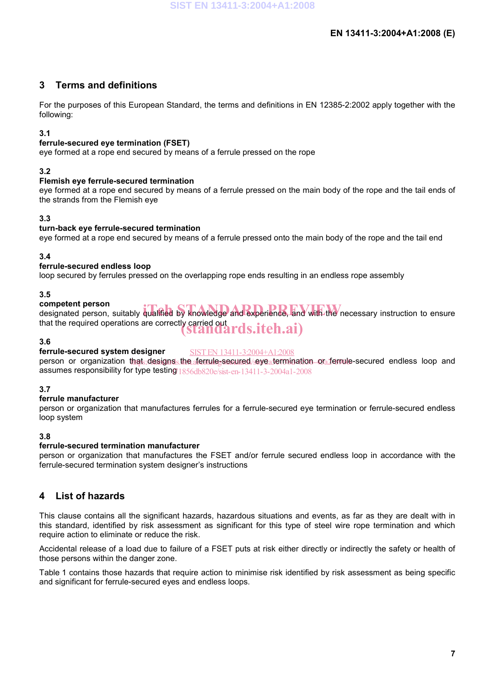### **3 Terms and definitions**

For the purposes of this European Standard, the terms and definitions in EN 12385-2:2002 apply together with the following:

#### **3.1**

#### **ferrule-secured eye termination (FSET)**

eye formed at a rope end secured by means of a ferrule pressed on the rope

#### **3.2**

#### **Flemish eye ferrule-secured termination**

eye formed at a rope end secured by means of a ferrule pressed on the main body of the rope and the tail ends of the strands from the Flemish eye

#### **3.3**

#### **turn-back eye ferrule-secured termination**

eye formed at a rope end secured by means of a ferrule pressed onto the main body of the rope and the tail end

#### **3.4**

#### **ferrule-secured endless loop**

loop secured by ferrules pressed on the overlapping rope ends resulting in an endless rope assembly

#### **3.5**

#### **competent person**

competent person<br>designated person, suitably qualified by knowledge and experience, and with the necessary instruction to ensure that the required operations are correctly carried out (standards.iteh.ai)

#### **3.6**

#### **ferrule-secured system designer**  SIST EN 13411-3:2004+A1:2008

person or organization that designs the ferrule secured eye termination or ferrule-secured endless loop and assumes responsibility for type testing 1856db820e/sist-en-13411-3-2004a1-2008

#### **3.7**

#### **ferrule manufacturer**

person or organization that manufactures ferrules for a ferrule-secured eye termination or ferrule-secured endless loop system

#### **3.8**

#### **ferrule-secured termination manufacturer**

person or organization that manufactures the FSET and/or ferrule secured endless loop in accordance with the ferrule-secured termination system designer's instructions

### **4 List of hazards**

This clause contains all the significant hazards, hazardous situations and events, as far as they are dealt with in this standard, identified by risk assessment as significant for this type of steel wire rope termination and which require action to eliminate or reduce the risk.

Accidental release of a load due to failure of a FSET puts at risk either directly or indirectly the safety or health of those persons within the danger zone.

Table 1 contains those hazards that require action to minimise risk identified by risk assessment as being specific and significant for ferrule-secured eyes and endless loops.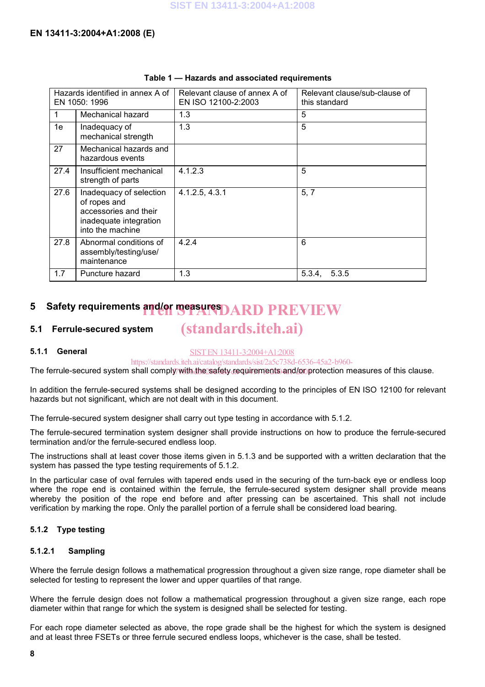| Hazards identified in annex A of<br>EN 1050: 1996 |                                                                                                                | Relevant clause of annex A of<br>EN ISO 12100-2:2003 | Relevant clause/sub-clause of<br>this standard |
|---------------------------------------------------|----------------------------------------------------------------------------------------------------------------|------------------------------------------------------|------------------------------------------------|
| 1                                                 | Mechanical hazard                                                                                              | 1.3                                                  | 5                                              |
| 1e                                                | Inadequacy of<br>mechanical strength                                                                           | 1.3                                                  | 5                                              |
| 27                                                | Mechanical hazards and<br>hazardous events                                                                     |                                                      |                                                |
| 27.4                                              | Insufficient mechanical<br>strength of parts                                                                   | 4.1.2.3                                              | 5                                              |
| 27.6                                              | Inadequacy of selection<br>of ropes and<br>accessories and their<br>inadequate integration<br>into the machine | 4.1.2.5, 4.3.1                                       | 5, 7                                           |
| 27.8                                              | Abnormal conditions of<br>assembly/testing/use/<br>maintenance                                                 | 4.2.4                                                | 6                                              |
| 1.7                                               | Puncture hazard                                                                                                | 1.3                                                  | 5.3.4.<br>5.3.5                                |

#### **Table 1 — Hazards and associated requirements**

## **5** Safety requirements and/or measures DARD PREVIEW

#### **5.1 Ferrule-secured system**

#### **5.1.1 General**

SIST EN 13411-3:2004+A1:2008

(standards.iteh.ai)

https://standards.iteh.ai/catalog/standards/sist/2a5c738d-6536-45a2-b960-

The ferrule-secured system shall comply with the safety requirements and/or protection measures of this clause.

In addition the ferrule-secured systems shall be designed according to the principles of EN ISO 12100 for relevant hazards but not significant, which are not dealt with in this document.

The ferrule-secured system designer shall carry out type testing in accordance with 5.1.2.

The ferrule-secured termination system designer shall provide instructions on how to produce the ferrule-secured termination and/or the ferrule-secured endless loop.

The instructions shall at least cover those items given in 5.1.3 and be supported with a written declaration that the system has passed the type testing requirements of 5.1.2.

In the particular case of oval ferrules with tapered ends used in the securing of the turn-back eye or endless loop where the rope end is contained within the ferrule, the ferrule-secured system designer shall provide means whereby the position of the rope end before and after pressing can be ascertained. This shall not include verification by marking the rope. Only the parallel portion of a ferrule shall be considered load bearing.

#### **5.1.2 Type testing**

#### **5.1.2.1 Sampling**

Where the ferrule design follows a mathematical progression throughout a given size range, rope diameter shall be selected for testing to represent the lower and upper quartiles of that range.

Where the ferrule design does not follow a mathematical progression throughout a given size range, each rope diameter within that range for which the system is designed shall be selected for testing.

For each rope diameter selected as above, the rope grade shall be the highest for which the system is designed and at least three FSETs or three ferrule secured endless loops, whichever is the case, shall be tested.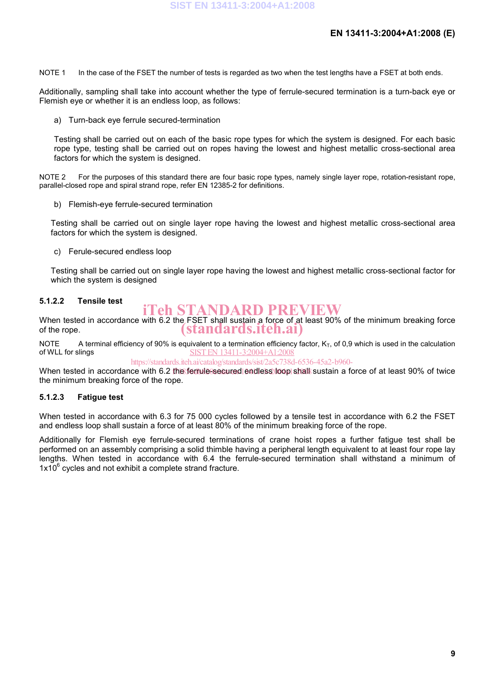NOTE 1 In the case of the FSET the number of tests is regarded as two when the test lengths have a FSET at both ends.

Additionally, sampling shall take into account whether the type of ferrule-secured termination is a turn-back eye or Flemish eye or whether it is an endless loop, as follows:

a) Turn-back eye ferrule secured-termination

Testing shall be carried out on each of the basic rope types for which the system is designed. For each basic rope type, testing shall be carried out on ropes having the lowest and highest metallic cross-sectional area factors for which the system is designed.

NOTE 2 For the purposes of this standard there are four basic rope types, namely single layer rope, rotation-resistant rope, parallel-closed rope and spiral strand rope, refer EN 12385-2 for definitions.

b) Flemish-eye ferrule-secured termination

Testing shall be carried out on single layer rope having the lowest and highest metallic cross-sectional area factors for which the system is designed.

c) Ferule-secured endless loop

Testing shall be carried out on single layer rope having the lowest and highest metallic cross-sectional factor for which the system is designed

#### **5.1.2.2 Tensile test**

## iTeh STANDARD PREVIEW

When tested in accordance with 6.2 the FSET shall sustain a force of at least 90% of the minimum breaking force of the rope. (standards.iteh.ai)

NOTE A terminal efficiency of 90% is equivalent to a termination efficiency factor,  $K_T$ , of 0,9 which is used in the calculation of WLL for slings SIST EN 13411-3:2004+A1:2008

https://standards.iteh.ai/catalog/standards/sist/2a5c738d-6536-45a2-b960-

When tested in accordance with 6.2 the ferrule secured endless loop shall sustain a force of at least 90% of twice the minimum breaking force of the rope.

#### **5.1.2.3 Fatigue test**

When tested in accordance with 6.3 for 75 000 cycles followed by a tensile test in accordance with 6.2 the FSET and endless loop shall sustain a force of at least 80% of the minimum breaking force of the rope.

Additionally for Flemish eye ferrule-secured terminations of crane hoist ropes a further fatigue test shall be performed on an assembly comprising a solid thimble having a peripheral length equivalent to at least four rope lay lengths. When tested in accordance with 6.4 the ferrule-secured termination shall withstand a minimum of  $1x10^6$  cycles and not exhibit a complete strand fracture.